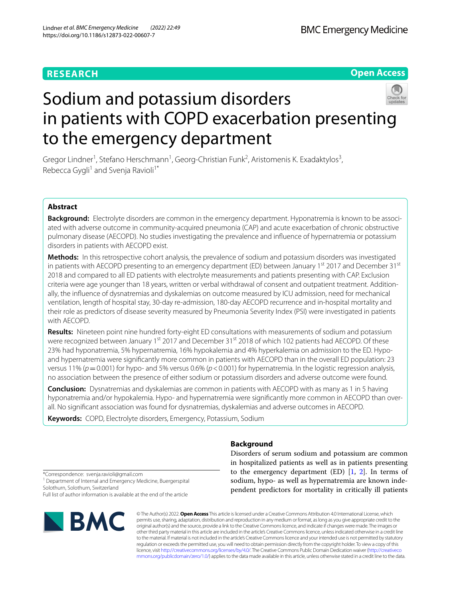# **RESEARCH**

**Open Access**

# Sodium and potassium disorders in patients with COPD exacerbation presenting to the emergency department

Gregor Lindner<sup>1</sup>, Stefano Herschmann<sup>1</sup>, Georg-Christian Funk<sup>2</sup>, Aristomenis K. Exadaktylos<sup>3</sup>, Rebecca Gygli<sup>1</sup> and Svenja Ravioli<sup>1\*</sup>

# **Abstract**

**Background:** Electrolyte disorders are common in the emergency department. Hyponatremia is known to be associated with adverse outcome in community-acquired pneumonia (CAP) and acute exacerbation of chronic obstructive pulmonary disease (AECOPD). No studies investigating the prevalence and infuence of hypernatremia or potassium disorders in patients with AECOPD exist.

**Methods:** In this retrospective cohort analysis, the prevalence of sodium and potassium disorders was investigated in patients with AECOPD presenting to an emergency department (ED) between January  $1<sup>st</sup>$  2017 and December 31 $<sup>st</sup>$ </sup> 2018 and compared to all ED patients with electrolyte measurements and patients presenting with CAP. Exclusion criteria were age younger than 18 years, written or verbal withdrawal of consent and outpatient treatment. Additionally, the infuence of dysnatremias and dyskalemias on outcome measured by ICU admission, need for mechanical ventilation, length of hospital stay, 30-day re-admission, 180-day AECOPD recurrence and in-hospital mortality and their role as predictors of disease severity measured by Pneumonia Severity Index (PSI) were investigated in patients with AECOPD.

**Results:** Nineteen point nine hundred forty-eight ED consultations with measurements of sodium and potassium were recognized between January 1<sup>st</sup> 2017 and December 31<sup>st</sup> 2018 of which 102 patients had AECOPD. Of these 23% had hyponatremia, 5% hypernatremia, 16% hypokalemia and 4% hyperkalemia on admission to the ED. Hypoand hypernatremia were signifcantly more common in patients with AECOPD than in the overall ED population: 23 versus 11% (*p*=0.001) for hypo- and 5% versus 0.6% (*p*<0.001) for hypernatremia. In the logistic regression analysis, no association between the presence of either sodium or potassium disorders and adverse outcome were found.

**Conclusion:** Dysnatremias and dyskalemias are common in patients with AECOPD with as many as 1 in 5 having hyponatremia and/or hypokalemia. Hypo- and hypernatremia were significantly more common in AECOPD than overall. No signifcant association was found for dysnatremias, dyskalemias and adverse outcomes in AECOPD.

**Keywords:** COPD, Electrolyte disorders, Emergency, Potassium, Sodium

# **Background**

Disorders of serum sodium and potassium are common in hospitalized patients as well as in patients presenting to the emergency department  $(ED)$   $[1, 2]$  $[1, 2]$  $[1, 2]$ . In terms of sodium, hypo- as well as hypernatremia are known independent predictors for mortality in critically ill patients

\*Correspondence: svenja.ravioli@gmail.com <sup>1</sup> Department of Internal and Emergency Medicine, Buergerspital Solothurn, Solothurn, Switzerland Full list of author information is available at the end of the article



© The Author(s) 2022. **Open Access** This article is licensed under a Creative Commons Attribution 4.0 International License, which permits use, sharing, adaptation, distribution and reproduction in any medium or format, as long as you give appropriate credit to the original author(s) and the source, provide a link to the Creative Commons licence, and indicate if changes were made. The images or other third party material in this article are included in the article's Creative Commons licence, unless indicated otherwise in a credit line to the material. If material is not included in the article's Creative Commons licence and your intended use is not permitted by statutory regulation or exceeds the permitted use, you will need to obtain permission directly from the copyright holder. To view a copy of this licence, visit [http://creativecommons.org/licenses/by/4.0/.](http://creativecommons.org/licenses/by/4.0/) The Creative Commons Public Domain Dedication waiver ([http://creativeco](http://creativecommons.org/publicdomain/zero/1.0/) [mmons.org/publicdomain/zero/1.0/](http://creativecommons.org/publicdomain/zero/1.0/)) applies to the data made available in this article, unless otherwise stated in a credit line to the data.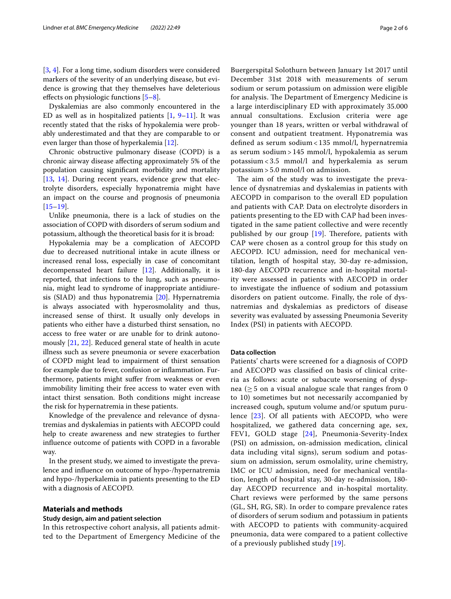[[3,](#page-5-1) [4\]](#page-5-2). For a long time, sodium disorders were considered markers of the severity of an underlying disease, but evidence is growing that they themselves have deleterious effects on physiologic functions  $[5-8]$  $[5-8]$ .

Dyskalemias are also commonly encountered in the ED as well as in hospitalized patients  $[1, 9-11]$  $[1, 9-11]$  $[1, 9-11]$  $[1, 9-11]$ . It was recently stated that the risks of hypokalemia were probably underestimated and that they are comparable to or even larger than those of hyperkalemia [\[12](#page-5-7)].

Chronic obstructive pulmonary disease (COPD) is a chronic airway disease afecting approximately 5% of the population causing signifcant morbidity and mortality [[13,](#page-5-8) [14\]](#page-5-9). During recent years, evidence grew that electrolyte disorders, especially hyponatremia might have an impact on the course and prognosis of pneumonia [[15–](#page-5-10)[19](#page-5-11)].

Unlike pneumonia, there is a lack of studies on the association of COPD with disorders of serum sodium and potassium, although the theoretical basis for it is broad:

Hypokalemia may be a complication of AECOPD due to decreased nutritional intake in acute illness or increased renal loss, especially in case of concomitant decompensated heart failure [\[12\]](#page-5-7). Additionally, it is reported, that infections to the lung, such as pneumonia, might lead to syndrome of inappropriate antidiuresis (SIAD) and thus hyponatremia [[20\]](#page-5-12). Hypernatremia is always associated with hyperosmolality and thus, increased sense of thirst. It usually only develops in patients who either have a disturbed thirst sensation, no access to free water or are unable for to drink autonomously [\[21](#page-5-13), [22](#page-5-14)]. Reduced general state of health in acute illness such as severe pneumonia or severe exacerbation of COPD might lead to impairment of thirst sensation for example due to fever, confusion or infammation. Furthermore, patients might sufer from weakness or even immobility limiting their free access to water even with intact thirst sensation. Both conditions might increase the risk for hypernatremia in these patients.

Knowledge of the prevalence and relevance of dysnatremias and dyskalemias in patients with AECOPD could help to create awareness and new strategies to further infuence outcome of patients with COPD in a favorable way.

In the present study, we aimed to investigate the prevalence and infuence on outcome of hypo-/hypernatremia and hypo-/hyperkalemia in patients presenting to the ED with a diagnosis of AECOPD.

## **Materials and methods**

#### **Study design, aim and patient selection**

In this retrospective cohort analysis, all patients admitted to the Department of Emergency Medicine of the Buergerspital Solothurn between January 1st 2017 until December 31st 2018 with measurements of serum sodium or serum potassium on admission were eligible for analysis. The Department of Emergency Medicine is a large interdisciplinary ED with approximately 35.000 annual consultations. Exclusion criteria were age younger than 18 years, written or verbal withdrawal of consent and outpatient treatment. Hyponatremia was defned as serum sodium < 135 mmol/l, hypernatremia as serum sodium > 145 mmol/l, hypokalemia as serum potassium < 3.5 mmol/l and hyperkalemia as serum potassium > 5.0 mmol/l on admission.

The aim of the study was to investigate the prevalence of dysnatremias and dyskalemias in patients with AECOPD in comparison to the overall ED population and patients with CAP. Data on electrolyte disorders in patients presenting to the ED with CAP had been investigated in the same patient collective and were recently published by our group  $[19]$  $[19]$  $[19]$ . Therefore, patients with CAP were chosen as a control group for this study on AECOPD. ICU admission, need for mechanical ventilation, length of hospital stay, 30-day re-admission, 180-day AECOPD recurrence and in-hospital mortality were assessed in patients with AECOPD in order to investigate the infuence of sodium and potassium disorders on patient outcome. Finally, the role of dysnatremias and dyskalemias as predictors of disease severity was evaluated by assessing Pneumonia Severity Index (PSI) in patients with AECOPD.

#### **Data collection**

Patients' charts were screened for a diagnosis of COPD and AECOPD was classifed on basis of clinical criteria as follows: acute or subacute worsening of dyspnea ( $\geq$  5 on a visual analogue scale that ranges from 0 to 10) sometimes but not necessarily accompanied by increased cough, sputum volume and/or sputum purulence [[23\]](#page-5-15). Of all patients with AECOPD, who were hospitalized, we gathered data concerning age, sex, FEV1, GOLD stage [[24](#page-5-16)], Pneumonia-Severity-Index (PSI) on admission, on-admission medication, clinical data including vital signs), serum sodium and potassium on admission, serum osmolality, urine chemistry, IMC or ICU admission, need for mechanical ventilation, length of hospital stay, 30-day re-admission, 180 day AECOPD recurrence and in-hospital mortality. Chart reviews were performed by the same persons (GL, SH, RG, SR). In order to compare prevalence rates of disorders of serum sodium and potassium in patients with AECOPD to patients with community-acquired pneumonia, data were compared to a patient collective of a previously published study [[19\]](#page-5-11).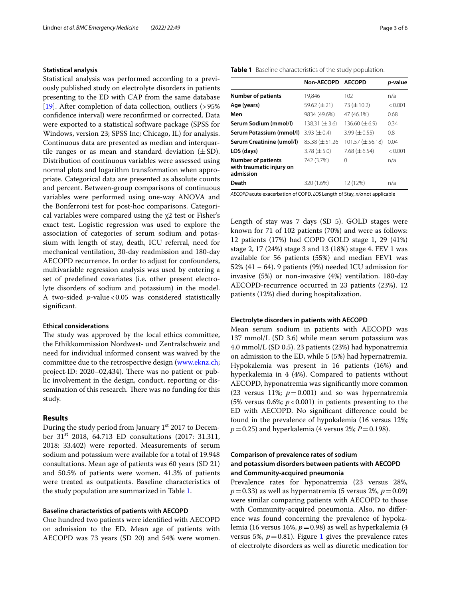#### **Statistical analysis**

Statistical analysis was performed according to a previously published study on electrolyte disorders in patients presenting to the ED with CAP from the same database [[19\]](#page-5-11). After completion of data collection, outliers (>95%) confdence interval) were reconfrmed or corrected. Data were exported to a statistical software package (SPSS for Windows, version 23; SPSS Inc; Chicago, IL) for analysis. Continuous data are presented as median and interquartile ranges or as mean and standard deviation  $(\pm SD)$ . Distribution of continuous variables were assessed using normal plots and logarithm transformation when appropriate. Categorical data are presented as absolute counts and percent. Between-group comparisons of continuous variables were performed using one-way ANOVA and the Bonferroni test for post-hoc comparisons. Categorical variables were compared using the χ2 test or Fisher's exact test. Logistic regression was used to explore the association of categories of serum sodium and potassium with length of stay, death, ICU referral, need for mechanical ventilation, 30-day readmission and 180-day AECOPD recurrence. In order to adjust for confounders, multivariable regression analysis was used by entering a set of predefned covariates (i.e. other present electrolyte disorders of sodium and potassium) in the model. A two-sided *p*-value<0.05 was considered statistically significant.

## **Ethical considerations**

The study was approved by the local ethics committee, the Ethikkommission Nordwest- und Zentralschweiz and need for individual informed consent was waived by the committee due to the retrospective design ([www.eknz.ch](http://www.eknz.ch); project-ID: 2020-02,434). There was no patient or public involvement in the design, conduct, reporting or dissemination of this research. There was no funding for this study.

# **Results**

During the study period from January  $1<sup>st</sup>$  2017 to December 31st 2018, 64.713 ED consultations (2017: 31.311, 2018: 33.402) were reported. Measurements of serum sodium and potassium were available for a total of 19.948 consultations. Mean age of patients was 60 years (SD 21) and 50.5% of patients were women. 41.3% of patients were treated as outpatients. Baseline characteristics of the study population are summarized in Table [1](#page-2-0).

# **Baseline characteristics of patients with AECOPD**

One hundred two patients were identifed with AECOPD on admission to the ED. Mean age of patients with AECOPD was 73 years (SD 20) and 54% were women.

#### <span id="page-2-0"></span>**Table 1** Baseline characteristics of the study population.

|                                                                    | Non-AECOPD AECOPD   |                        | p-value |
|--------------------------------------------------------------------|---------------------|------------------------|---------|
| <b>Number of patients</b>                                          | 19,846              | 102                    | n/a     |
| Age (years)                                                        | 59.62 $(\pm 21)$    | $73 (\pm 10.2)$        | < 0.001 |
| Men                                                                | 9834 (49.6%)        | 47 (46.1%)             | 0.68    |
| Serum Sodium (mmol/l)                                              | 138.31 $(\pm 3.6)$  | 136.60 $(\pm 6.9)$     | 0.34    |
| Serum Potassium (mmol/l)                                           | 3.93 $(\pm 0.4)$    | 3.99 $(\pm 0.55)$      | 0.8     |
| Serum Creatinine (umol/l)                                          | $85.38 (\pm 51.26)$ | $101.57 \ (\pm 56.18)$ | 0.04    |
| LOS (days)                                                         | $3.78 \ (\pm 5.0)$  | 7.68 $(\pm 6.54)$      | < 0.001 |
| <b>Number of patients</b><br>with traumatic injury on<br>admission | 742 (3.7%)          | 0                      | n/a     |
| Death                                                              | 320 (1.6%)          | 12 (12%)               | n/a     |

*AECOPD*acute exacerbation of COPD, *LOS* Length of Stay, *n/a*not applicable

Length of stay was 7 days (SD 5). GOLD stages were known for 71 of 102 patients (70%) and were as follows: 12 patients (17%) had COPD GOLD stage 1, 29 (41%) stage 2, 17 (24%) stage 3 and 13 (18%) stage 4. FEV 1 was available for 56 patients (55%) and median FEV1 was 52% (41 – 64). 9 patients (9%) needed ICU admission for invasive (5%) or non-invasive (4%) ventilation. 180-day AECOPD-recurrence occurred in 23 patients (23%). 12 patients (12%) died during hospitalization.

#### **Electrolyte disorders in patients with AECOPD**

Mean serum sodium in patients with AECOPD was 137 mmol/L (SD 3.6) while mean serum potassium was 4.0 mmol/L (SD 0.5). 23 patients (23%) had hyponatremia on admission to the ED, while 5 (5%) had hypernatremia. Hypokalemia was present in 16 patients (16%) and hyperkalemia in 4 (4%). Compared to patients without AECOPD, hyponatremia was signifcantly more common (23 versus 11%;  $p=0.001$ ) and so was hypernatremia (5% versus 0.6%;  $p < 0.001$ ) in patients presenting to the ED with AECOPD. No signifcant diference could be found in the prevalence of hypokalemia (16 versus 12%;  $p = 0.25$ ) and hyperkalemia (4 versus 2%;  $P = 0.198$ ).

# **Comparison of prevalence rates of sodium and potassium disorders between patients with AECOPD and Community‑acquired pneumonia**

Prevalence rates for hyponatremia (23 versus 28%,  $p=0.33$ ) as well as hypernatremia (5 versus 2%,  $p=0.09$ ) were similar comparing patients with AECOPD to those with Community-acquired pneumonia. Also, no diference was found concerning the prevalence of hypokalemia (16 versus 16%, *p*=0.98) as well as hyperkalemia (4 versus 5%,  $p=0.81$  $p=0.81$ ). Figure 1 gives the prevalence rates of electrolyte disorders as well as diuretic medication for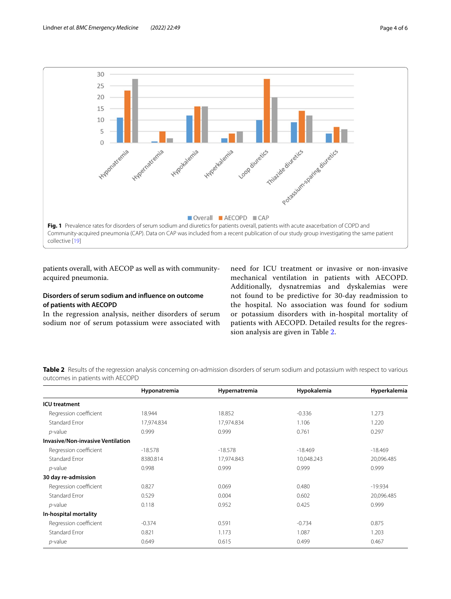

<span id="page-3-0"></span>patients overall, with AECOP as well as with communityacquired pneumonia.

# **Disorders of serum sodium and infuence on outcome of patients with AECOPD**

In the regression analysis, neither disorders of serum sodium nor of serum potassium were associated with need for ICU treatment or invasive or non-invasive mechanical ventilation in patients with AECOPD. Additionally, dysnatremias and dyskalemias were not found to be predictive for 30-day readmission to the hospital. No association was found for sodium or potassium disorders with in-hospital mortality of patients with AECOPD. Detailed results for the regression analysis are given in Table [2.](#page-3-1)

<span id="page-3-1"></span>**Table 2** Results of the regression analysis concerning on-admission disorders of serum sodium and potassium with respect to various outcomes in patients with AECOPD

|                                          | Hyponatremia | Hypernatremia | Hypokalemia | Hyperkalemia |
|------------------------------------------|--------------|---------------|-------------|--------------|
| <b>ICU</b> treatment                     |              |               |             |              |
| Regression coefficient                   | 18.944       | 18.852        | $-0.336$    | 1.273        |
| <b>Standard Error</b>                    | 17,974.834   | 17,974.834    | 1.106       | 1.220        |
| $p$ -value                               | 0.999        | 0.999         | 0.761       | 0.297        |
| <b>Invasive/Non-invasive Ventilation</b> |              |               |             |              |
| Regression coefficient                   | $-18.578$    | $-18.578$     | $-18,469$   | $-18.469$    |
| <b>Standard Error</b>                    | 8380.814     | 17,974.843    | 10,048.243  | 20,096.485   |
| $p$ -value                               | 0.998        | 0.999         | 0.999       | 0.999        |
| 30 day re-admission                      |              |               |             |              |
| Regression coefficient                   | 0.827        | 0.069         | 0.480       | $-19.934$    |
| Standard Error                           | 0.529        | 0.004         | 0.602       | 20,096.485   |
| $p$ -value                               | 0.118        | 0.952         | 0.425       | 0.999        |
| In-hospital mortality                    |              |               |             |              |
| Regression coefficient                   | $-0.374$     | 0.591         | $-0.734$    | 0.875        |
| Standard Error                           | 0.821        | 1.173         | 1.087       | 1.203        |
| $p$ -value                               | 0.649        | 0.615         | 0.499       | 0.467        |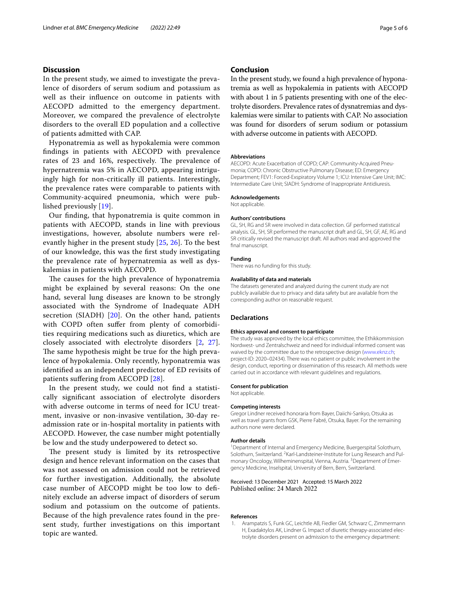# **Discussion**

In the present study, we aimed to investigate the prevalence of disorders of serum sodium and potassium as well as their infuence on outcome in patients with AECOPD admitted to the emergency department. Moreover, we compared the prevalence of electrolyte disorders to the overall ED population and a collective of patients admitted with CAP.

Hyponatremia as well as hypokalemia were common fndings in patients with AECOPD with prevalence rates of 23 and 16%, respectively. The prevalence of hypernatremia was 5% in AECOPD, appearing intriguingly high for non-critically ill patients. Interestingly, the prevalence rates were comparable to patients with Community-acquired pneumonia, which were published previously [[19\]](#page-5-11).

Our fnding, that hyponatremia is quite common in patients with AECOPD, stands in line with previous investigations, however, absolute numbers were relevantly higher in the present study [[25,](#page-5-17) [26](#page-5-18)]. To the best of our knowledge, this was the frst study investigating the prevalence rate of hypernatremia as well as dyskalemias in patients with AECOPD.

The causes for the high prevalence of hyponatremia might be explained by several reasons: On the one hand, several lung diseases are known to be strongly associated with the Syndrome of Inadequate ADH secretion (SIADH) [[20\]](#page-5-12). On the other hand, patients with COPD often suffer from plenty of comorbidities requiring medications such as diuretics, which are closely associated with electrolyte disorders [[2,](#page-5-0) [27\]](#page-5-19). The same hypothesis might be true for the high prevalence of hypokalemia. Only recently, hyponatremia was identifed as an independent predictor of ED revisits of patients sufering from AECOPD [[28\]](#page-5-20).

In the present study, we could not fnd a statistically signifcant association of electrolyte disorders with adverse outcome in terms of need for ICU treatment, invasive or non-invasive ventilation, 30-day readmission rate or in-hospital mortality in patients with AECOPD. However, the case number might potentially be low and the study underpowered to detect so.

The present study is limited by its retrospective design and hence relevant information on the cases that was not assessed on admission could not be retrieved for further investigation. Additionally, the absolute case number of AECOPD might be too low to defnitely exclude an adverse impact of disorders of serum sodium and potassium on the outcome of patients. Because of the high prevalence rates found in the present study, further investigations on this important topic are wanted.

# **Conclusion**

In the present study, we found a high prevalence of hyponatremia as well as hypokalemia in patients with AECOPD with about 1 in 5 patients presenting with one of the electrolyte disorders. Prevalence rates of dysnatremias and dyskalemias were similar to patients with CAP. No association was found for disorders of serum sodium or potassium with adverse outcome in patients with AECOPD.

#### **Abbreviations**

AECOPD: Acute Exacerbation of COPD; CAP: Community-Acquired Pneu‑ monia; COPD: Chronic Obstructive Pulmonary Disease; ED: Emergency Department; FEV1: Forced-Exspiratory Volume 1; ICU: Intensive Care Unit; IMC: Intermediate Care Unit; SIADH: Syndrome of Inappropriate Antidiuresis.

#### **Acknowledgements**

Not applicable.

#### **Authors' contributions**

GL, SH, RG and SR were involved in data collection. GF performed statistical analysis. GL, SH, SR performed the manuscript draft and GL, SH, GF, AE, RG and SR critically revised the manuscript draft. All authors read and approved the final manuscript.

#### **Funding**

There was no funding for this study.

#### **Availability of data and materials**

The datasets generated and analyzed during the current study are not publicly available due to privacy and data safety but are available from the corresponding author on reasonable request.

#### **Declarations**

#### **Ethics approval and consent to participate**

The study was approved by the local ethics committee, the Ethikkommission Nordwest- und Zentralschweiz and need for individual informed consent was waived by the committee due to the retrospective design [\(www.eknz.ch;](http://www.eknz.ch) project-ID: 2020–02434). There was no patient or public involvement in the design, conduct, reporting or dissemination of this research. All methods were carried out in accordance with relevant guidelines and regulations.

#### **Consent for publication**

Not applicable.

## **Competing interests**

Gregor Lindner received honoraria from Bayer, Daiichi-Sankyo, Otsuka as well as travel grants from GSK, Pierre Fabré, Otsuka, Bayer. For the remaining authors none were declared.

#### **Author details**

<sup>1</sup> Department of Internal and Emergency Medicine, Buergerspital Solothurn, Solothurn, Switzerland. <sup>2</sup> Karl-Landsteiner-Institute for Lung Research and Pulmonary Oncology, Wilheminenspital, Vienna, Austria. <sup>3</sup> Department of Emergency Medicine, Inselspital, University of Bern, Bern, Switzerland.

#### Received: 13 December 2021 Accepted: 15 March 2022 Published online: 24 March 2022

#### **References**

<span id="page-4-0"></span>1. Arampatzis S, Funk GC, Leichtle AB, Fiedler GM, Schwarz C, Zimmermann H, Exadaktylos AK, Lindner G. Impact of diuretic therapy-associated electrolyte disorders present on admission to the emergency department: